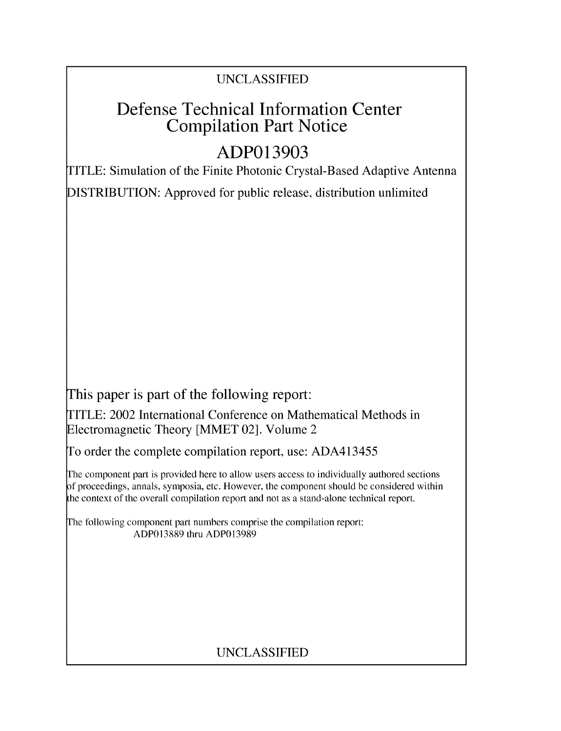## UNCLASSIFIED

## Defense Technical Information Center Compilation Part Notice

# **ADP013903**

TITLE: Simulation of the Finite Photonic Crystal-Based Adaptive Antenna

DISTRIBUTION: Approved for public release, distribution unlimited

This paper is part of the following report:

TITLE: 2002 International Conference on Mathematical Methods in Electromagnetic Theory [MMET 02]. Volume 2

To order the complete compilation report, use: ADA413455

The component part is provided here to allow users access to individually authored sections f proceedings, annals, symposia, etc. However, the component should be considered within the context of the overall compilation report and not as a stand-alone technical report.

The following component part numbers comprise the compilation report: ADP013889 thru ADP013989

## UNCLASSIFIED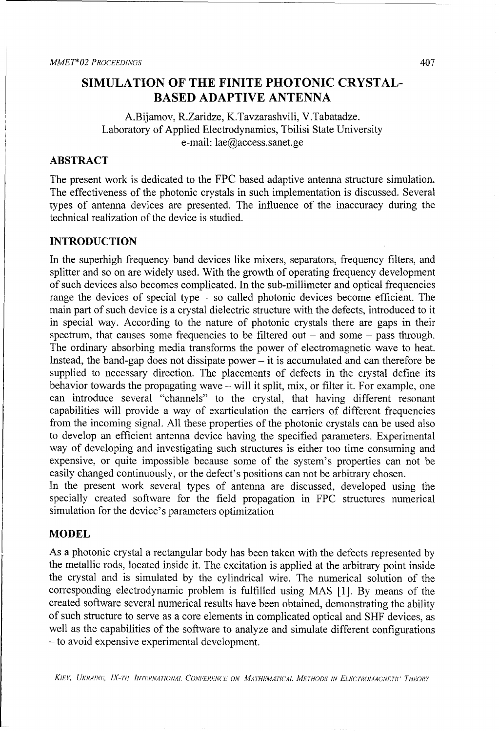### **SIMULATION** OF THE **FINITE PHOTONIC** CRYSTAL-**BASED ADAPTIVE ANTENNA**

A.Bijamov, R.Zaridze, K.Tavzarashvili, V.Tabatadze. Laboratory of Applied Electrodynamics, Tbilisi State University e-mail: lae@access.sanet.ge

### ABSTRACT

The present work is dedicated to the FPC based adaptive antenna structure simulation. The effectiveness of the photonic crystals in such implementation is discussed. Several types of antenna devices are presented. The influence of the inaccuracy during the technical realization of the device is studied.

#### **INTRODUCTION**

In the superhigh frequency band devices like mixers, separators, frequency filters, and splitter and so on are widely used. With the growth of operating frequency development of such devices also becomes complicated. In the sub-millimeter and optical frequencies range the devices of special type - so called photonic devices become efficient. The main part of such device is a crystal dielectric structure with the defects, introduced to it in special way. According to the nature of photonic crystals there are gaps in their spectrum, that causes some frequencies to be filtered out  $-$  and some  $-$  pass through. The ordinary absorbing media transforms the power of electromagnetic wave to heat. Instead, the band-gap does not dissipate power  $-$  it is accumulated and can therefore be supplied to necessary direction. The placements of defects in the crystal define its behavior towards the propagating wave – will it split, mix, or filter it. For example, one can introduce several "channels" to the crystal, that having different resonant capabilities will provide a way of exarticulation the carriers of different frequencies from the incoming signal. All these properties of the photonic crystals can be used also to develop an efficient antenna device having the specified parameters. Experimental way of developing and investigating such structures is either too time consuming and expensive, or quite impossible because some of the system's properties can not be easily changed continuously, or the defect's positions can not be arbitrary chosen.

In the present work several types of antenna are discussed, developed using the specially created software for the field propagation in FPC structures numerical simulation for the device's parameters optimization

#### **MODEL**

As a photonic crystal a rectangular body has been taken with the defects represented by the metallic rods, located inside it. The excitation is applied at the arbitrary point inside the crystal and is simulated by the cylindrical wire. The numerical solution of the corresponding electrodynamic problem is fulfilled using MAS [1]. By means of the created software several numerical results have been obtained, demonstrating the ability of such structure to serve as a core elements in complicated optical and **SHF** devices, as well as the capabilities of the software to analyze and simulate different configurations - to avoid expensive experimental development.

KIEV, UKRAINE, IX-TH INTERNATIONAL CONFERENCE ON MATHEMATICAL METHODS IN ELECTROMAGNETIC THEORY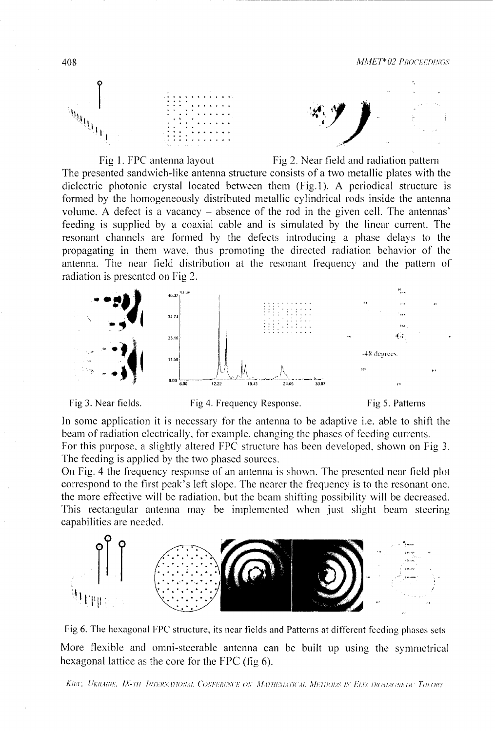





**16.32**

 $34.7<sup>°</sup>$ 

 $23.16$ 

11.58

 $0.00\left.\right|_{6.00}$ 



The presented sandwich-like antenna structure consists of a two metallic plates with the dielectric photonic crystal located between them (Fig.l). A periodical structure is formed by the homogeneously distributed metallic cylindrical rods inside the antenna volume. A defect is a vacancy - absence of the rod in the given cell. The antennas' feeding is supplied by a coaxial cable and is simulated by the linear current. The resonant channels are formed by the defects introducing a phase delays to the propagating in them wave, thus promoting the directed radiation behavior of the antenna. The near field distribution at the resonant frequency and the pattern of radiation is presented on Fig 2.









 $\mathcal{L}_{\text{obs}}$ 

 $-48$  degrees

In some application it is necessary for the antenna to be adaptive i.e. able to shift the beam of radiation electrically, for example, changing the phases of feeding currents. For this purpose. a slightly altered FPC structure has been developed, shown on Fig 3. The feeding is applied by the two phased sources.

**M** *122* **M. 11** i **11,1111A**

On Fig. 4 the frequency response of an antenna is shown. The presented near field plot correspond to the first peak's left slope. The nearer the frequency is to the resonant one, the more effective will be radiation. but the beam shifting possibility will be decreased. This rectangular antenna may be implemented when just slight beam steering capabilities are needed.



Fig 6. The hexagonal FPC structure, its near fields and Patterns at different feeding phases sets More flexible and omni-steerable antenna can be built up using the symmetrical hexagonal lattice as the core for the FPC (fig 6).

 $K$ IET, UKRAINE, IX-TH INTERNATIONAL CONFERENCE ON MATHEMATICAL METHODS IN ELECTROMAGNETIC THEORY